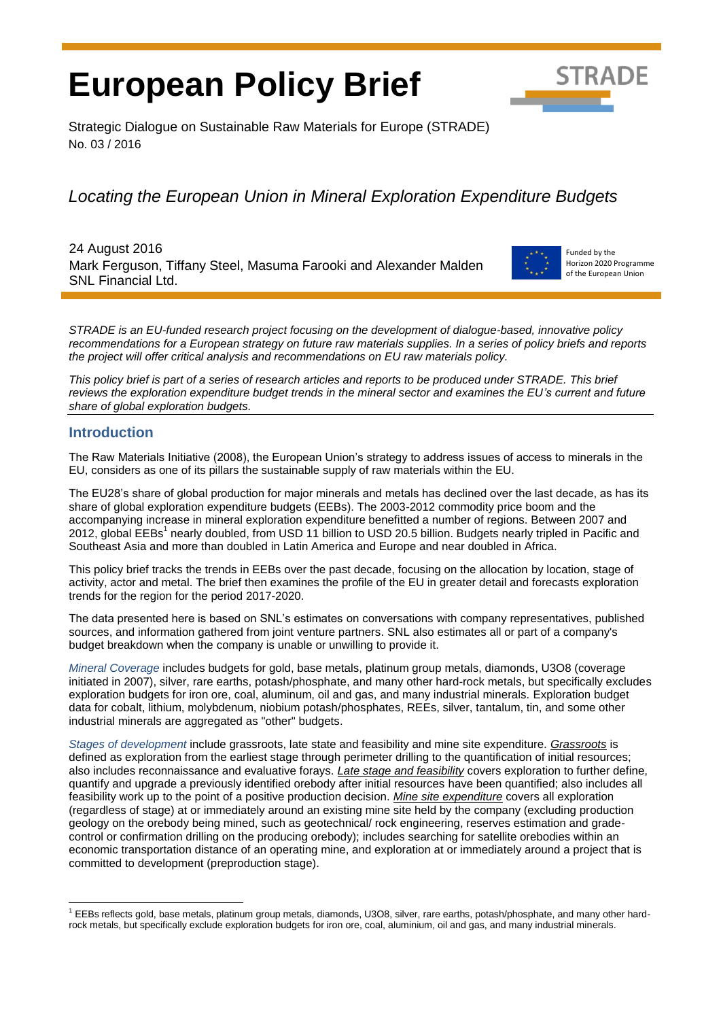# **European Policy Brief**



Strategic Dialogue on Sustainable Raw Materials for Europe (STRADE) No. 03 / 2016

## *Locating the European Union in Mineral Exploration Expenditure Budgets*

24 August 2016 Mark Ferguson, Tiffany Steel, Masuma Farooki and Alexander Malden SNL Financial Ltd.



Funded by the Horizon 2020 Programme of the European Union

*STRADE is an EU-funded research project focusing on the development of dialogue-based, innovative policy recommendations for a European strategy on future raw materials supplies. In a series of policy briefs and reports the project will offer critical analysis and recommendations on EU raw materials policy.* 

*This policy brief is part of a series of research articles and reports to be produced under STRADE. This brief reviews the exploration expenditure budget trends in the mineral sector and examines the EU's current and future share of global exploration budgets.* 

#### **Introduction**

The Raw Materials Initiative (2008), the European Union's strategy to address issues of access to minerals in the EU, considers as one of its pillars the sustainable supply of raw materials within the EU.

The EU28's share of global production for major minerals and metals has declined over the last decade, as has its share of global exploration expenditure budgets (EEBs). The 2003-2012 commodity price boom and the accompanying increase in mineral exploration expenditure benefitted a number of regions. Between 2007 and 2012, global EEBs<sup>1</sup> nearly doubled, from USD 11 billion to USD 20.5 billion. Budgets nearly tripled in Pacific and Southeast Asia and more than doubled in Latin America and Europe and near doubled in Africa.

This policy brief tracks the trends in EEBs over the past decade, focusing on the allocation by location, stage of activity, actor and metal. The brief then examines the profile of the EU in greater detail and forecasts exploration trends for the region for the period 2017-2020.

The data presented here is based on SNL's estimates on conversations with company representatives, published sources, and information gathered from joint venture partners. SNL also estimates all or part of a company's budget breakdown when the company is unable or unwilling to provide it.

*Mineral Coverage* includes budgets for gold, base metals, platinum group metals, diamonds, U3O8 (coverage initiated in 2007), silver, rare earths, potash/phosphate, and many other hard-rock metals, but specifically excludes exploration budgets for iron ore, coal, aluminum, oil and gas, and many industrial minerals. Exploration budget data for cobalt, lithium, molybdenum, niobium potash/phosphates, REEs, silver, tantalum, tin, and some other industrial minerals are aggregated as "other" budgets.

*Stages of development* include grassroots, late state and feasibility and mine site expenditure. *Grassroots* is defined as exploration from the earliest stage through perimeter drilling to the quantification of initial resources; also includes reconnaissance and evaluative forays. *Late stage and feasibility* covers exploration to further define, quantify and upgrade a previously identified orebody after initial resources have been quantified; also includes all feasibility work up to the point of a positive production decision. *Mine site expenditure* covers all exploration (regardless of stage) at or immediately around an existing mine site held by the company (excluding production geology on the orebody being mined, such as geotechnical/ rock engineering, reserves estimation and gradecontrol or confirmation drilling on the producing orebody); includes searching for satellite orebodies within an economic transportation distance of an operating mine, and exploration at or immediately around a project that is committed to development (preproduction stage).

 <sup>1</sup> EEBs reflects gold, base metals, platinum group metals, diamonds, U3O8, silver, rare earths, potash/phosphate, and many other hardrock metals, but specifically exclude exploration budgets for iron ore, coal, aluminium, oil and gas, and many industrial minerals.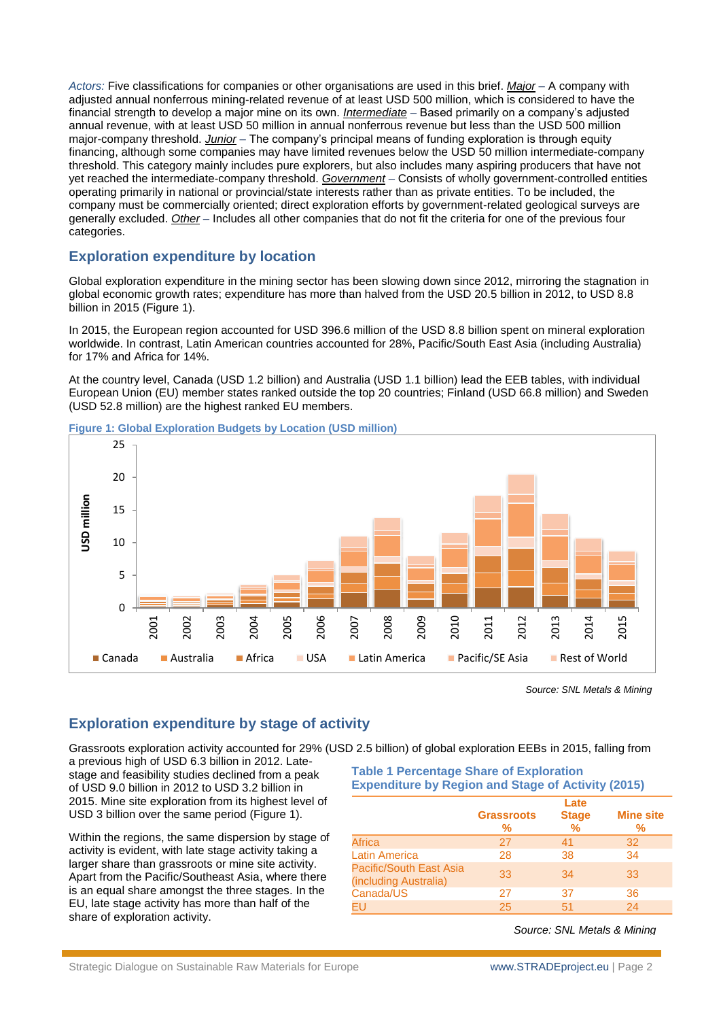*Actors:* Five classifications for companies or other organisations are used in this brief. *Major* – A company with adjusted annual nonferrous mining-related revenue of at least USD 500 million, which is considered to have the financial strength to develop a major mine on its own. *Intermediate* – Based primarily on a company's adjusted annual revenue, with at least USD 50 million in annual nonferrous revenue but less than the USD 500 million major-company threshold. *Junior* – The company's principal means of funding exploration is through equity financing, although some companies may have limited revenues below the USD 50 million intermediate-company threshold. This category mainly includes pure explorers, but also includes many aspiring producers that have not yet reached the intermediate-company threshold. *Government* – Consists of wholly government-controlled entities operating primarily in national or provincial/state interests rather than as private entities. To be included, the company must be commercially oriented; direct exploration efforts by government-related geological surveys are generally excluded. *Other* – Includes all other companies that do not fit the criteria for one of the previous four categories.

#### **Exploration expenditure by location**

Global exploration expenditure in the mining sector has been slowing down since 2012, mirroring the stagnation in global economic growth rates; expenditure has more than halved from the USD 20.5 billion in 2012, to USD 8.8 billion in 2015 (Figure 1).

In 2015, the European region accounted for USD 396.6 million of the USD 8.8 billion spent on mineral exploration worldwide. In contrast, Latin American countries accounted for 28%, Pacific/South East Asia (including Australia) for 17% and Africa for 14%.

At the country level, Canada (USD 1.2 billion) and Australia (USD 1.1 billion) lead the EEB tables, with individual European Union (EU) member states ranked outside the top 20 countries; Finland (USD 66.8 million) and Sweden (USD 52.8 million) are the highest ranked EU members.



**Figure 1: Global Exploration Budgets by Location (USD million)**

*Source: SNL Metals & Mining*

#### **Exploration expenditure by stage of activity**

Grassroots exploration activity accounted for 29% (USD 2.5 billion) of global exploration EEBs in 2015, falling from a previous high of USD 6.3 billion in 2012. Latestage and feasibility studies declined from a peak of USD 9.0 billion in 2012 to USD 3.2 billion in 2015. Mine site exploration from its highest level of **Table 1 Percentage Share of Exploration Expenditure by Region and Stage of Activity (2015)**

Within the regions, the same dispersion by stage of activity is evident, with late stage activity taking a larger share than grassroots or mine site activity. Apart from the Pacific/Southeast Asia, where there is an equal share amongst the three stages. In the EU, late stage activity has more than half of the share of exploration activity.

USD 3 billion over the same period [\(Figure 1\)](#page-2-0).

|                                                  | <b>Grassroots</b><br>% | Late<br><b>Stage</b><br>$\frac{9}{6}$ | <b>Mine site</b><br>℅ |
|--------------------------------------------------|------------------------|---------------------------------------|-----------------------|
| <b>Africa</b>                                    | 27                     | 41                                    | 32                    |
| <b>Latin America</b>                             | 28                     | 38                                    | 34                    |
| Pacific/South East Asia<br>(including Australia) | 33                     | 34                                    | 33                    |
| Canada/US                                        | 27                     | 37                                    | 36                    |
| EU                                               | 25                     | 51                                    | 24                    |

*Source: SNL Metals & Mining*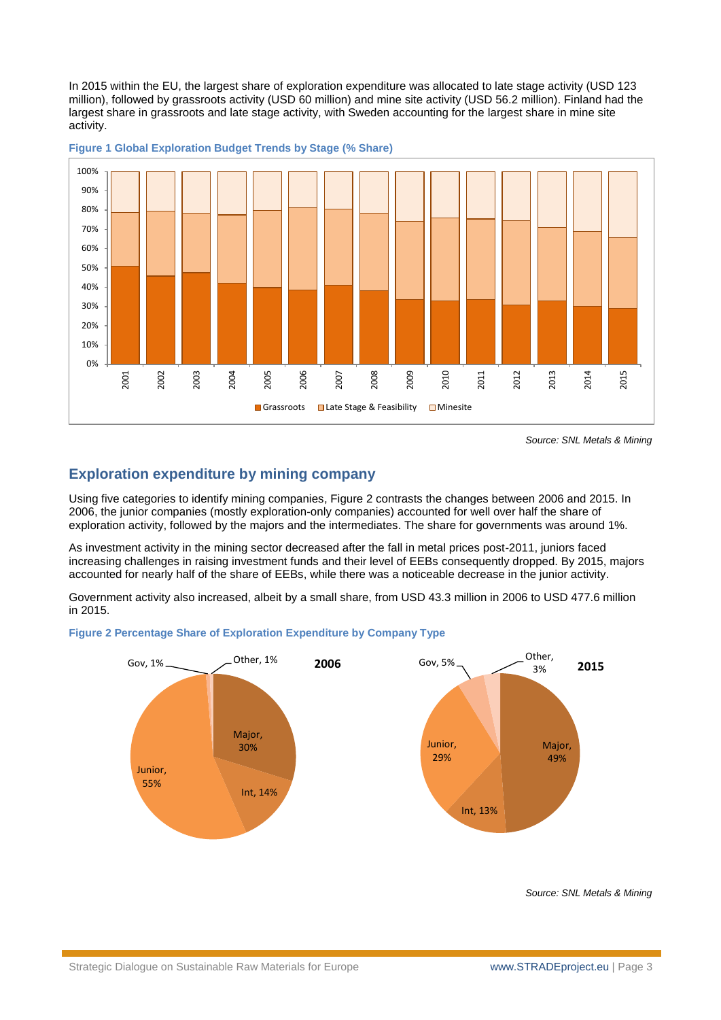In 2015 within the EU, the largest share of exploration expenditure was allocated to late stage activity (USD 123 million), followed by grassroots activity (USD 60 million) and mine site activity (USD 56.2 million). Finland had the largest share in grassroots and late stage activity, with Sweden accounting for the largest share in mine site activity.



<span id="page-2-0"></span>**Figure 1 Global Exploration Budget Trends by Stage (% Share)**

*Source: SNL Metals & Mining*

#### **Exploration expenditure by mining company**

Using five categories to identify mining companies, [Figure 2](#page-2-1) contrasts the changes between 2006 and 2015. In 2006, the junior companies (mostly exploration-only companies) accounted for well over half the share of exploration activity, followed by the majors and the intermediates. The share for governments was around 1%.

As investment activity in the mining sector decreased after the fall in metal prices post-2011, juniors faced increasing challenges in raising investment funds and their level of EEBs consequently dropped. By 2015, majors accounted for nearly half of the share of EEBs, while there was a noticeable decrease in the junior activity.

Government activity also increased, albeit by a small share, from USD 43.3 million in 2006 to USD 477.6 million in 2015.

<span id="page-2-1"></span>



*Source: SNL Metals & Mining*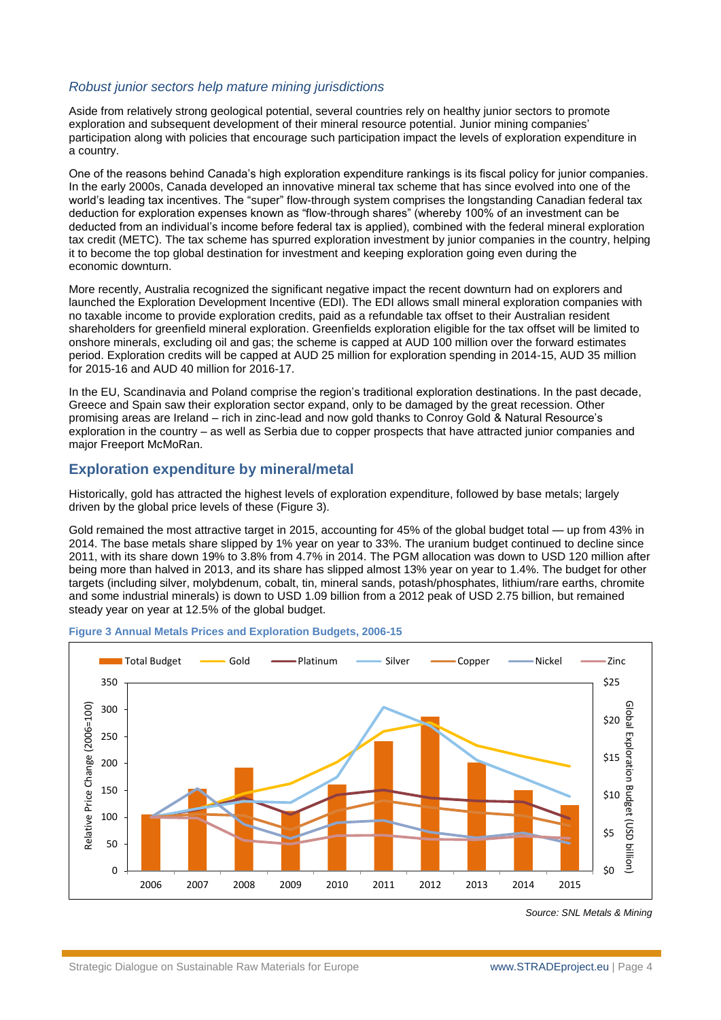#### *Robust junior sectors help mature mining jurisdictions*

Aside from relatively strong geological potential, several countries rely on healthy junior sectors to promote exploration and subsequent development of their mineral resource potential. Junior mining companies' participation along with policies that encourage such participation impact the levels of exploration expenditure in a country.

One of the reasons behind Canada's high exploration expenditure rankings is its fiscal policy for junior companies. In the early 2000s, Canada developed an innovative mineral tax scheme that has since evolved into one of the world's leading tax incentives. The "super" flow-through system comprises the longstanding Canadian federal tax deduction for exploration expenses known as "flow-through shares" (whereby 100% of an investment can be deducted from an individual's income before federal tax is applied), combined with the federal mineral exploration tax credit (METC). The tax scheme has spurred exploration investment by junior companies in the country, helping it to become the top global destination for investment and keeping exploration going even during the economic downturn.

More recently, Australia recognized the significant negative impact the recent downturn had on explorers and launched the Exploration Development Incentive (EDI). The EDI allows small mineral exploration companies with no taxable income to provide exploration credits, paid as a refundable tax offset to their Australian resident shareholders for greenfield mineral exploration. Greenfields exploration eligible for the tax offset will be limited to onshore minerals, excluding oil and gas; the scheme is capped at AUD 100 million over the forward estimates period. Exploration credits will be capped at AUD 25 million for exploration spending in 2014-15, AUD 35 million for 2015-16 and AUD 40 million for 2016-17.

In the EU, Scandinavia and Poland comprise the region's traditional exploration destinations. In the past decade, Greece and Spain saw their exploration sector expand, only to be damaged by the great recession. Other promising areas are Ireland – rich in zinc-lead and now gold thanks to Conroy Gold & Natural Resource's exploration in the country – as well as Serbia due to copper prospects that have attracted junior companies and major Freeport McMoRan.

#### **Exploration expenditure by mineral/metal**

Historically, gold has attracted the highest levels of exploration expenditure, followed by base metals; largely driven by the global price levels of these [\(Figure 3\)](#page-3-0).

Gold remained the most attractive target in 2015, accounting for 45% of the global budget total — up from 43% in 2014. The base metals share slipped by 1% year on year to 33%. The uranium budget continued to decline since 2011, with its share down 19% to 3.8% from 4.7% in 2014. The PGM allocation was down to USD 120 million after being more than halved in 2013, and its share has slipped almost 13% year on year to 1.4%. The budget for other targets (including silver, molybdenum, cobalt, tin, mineral sands, potash/phosphates, lithium/rare earths, chromite and some industrial minerals) is down to USD 1.09 billion from a 2012 peak of USD 2.75 billion, but remained steady year on year at 12.5% of the global budget.



#### <span id="page-3-0"></span>**Figure 3 Annual Metals Prices and Exploration Budgets, 2006-15**

*Source: SNL Metals & Mining*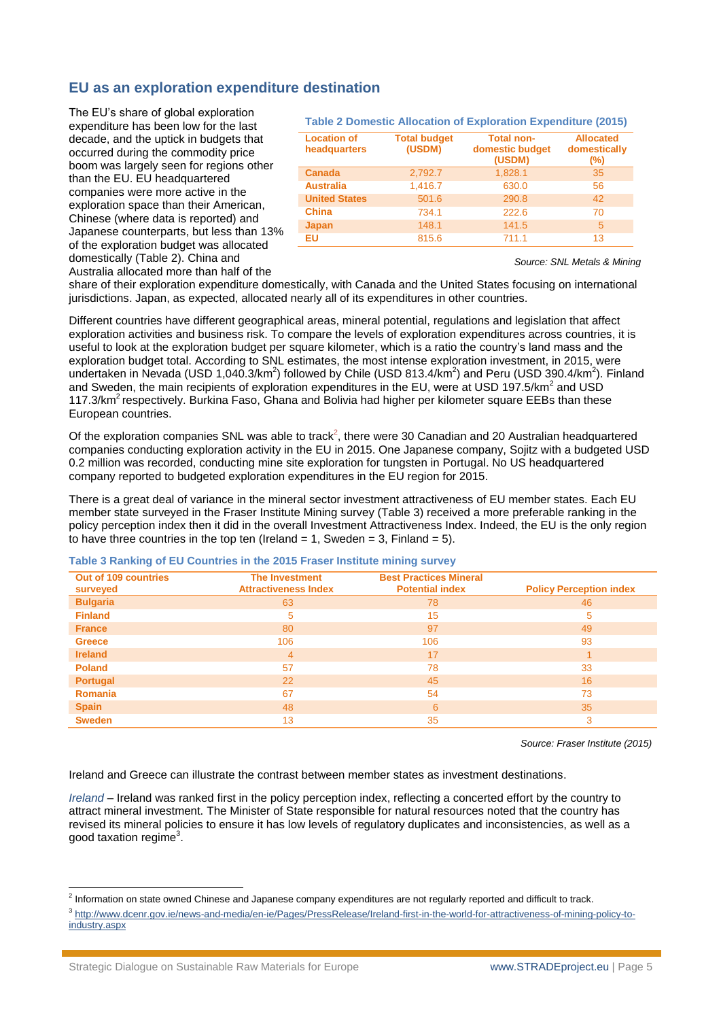#### **EU as an exploration expenditure destination**

The EU's share of global exploration expenditure has been low for the last decade, and the uptick in budgets that occurred during the commodity price boom was largely seen for regions other than the EU. EU headquartered companies were more active in the exploration space than their American, Chinese (where data is reported) and Japanese counterparts, but less than 13% of the exploration budget was allocated domestically [\(Table 2\)](#page-4-0). China and Australia allocated more than half of the

#### <span id="page-4-0"></span>**Table 2 Domestic Allocation of Exploration Expenditure (2015)**

| <b>Location of</b><br>headquarters | <b>Total budget</b><br>(USDM) | <b>Total non-</b><br>domestic budget<br>(USDM) | <b>Allocated</b><br>domestically<br>$(\%)$ |
|------------------------------------|-------------------------------|------------------------------------------------|--------------------------------------------|
| <b>Canada</b>                      | 2,792.7                       | 1,828.1                                        | 35                                         |
| <b>Australia</b>                   | 1,416.7                       | 630.0                                          | 56                                         |
| <b>United States</b>               | 501.6                         | 290.8                                          | 42                                         |
| <b>China</b>                       | 734.1                         | 222.6                                          | 70                                         |
| <b>Japan</b>                       | 148.1                         | 141.5                                          | 5                                          |
| <b>EU</b>                          | 815.6                         | 711.1                                          | 13                                         |

*Source: SNL Metals & Mining*

share of their exploration expenditure domestically, with Canada and the United States focusing on international jurisdictions. Japan, as expected, allocated nearly all of its expenditures in other countries.

Different countries have different geographical areas, mineral potential, regulations and legislation that affect exploration activities and business risk. To compare the levels of exploration expenditures across countries, it is useful to look at the exploration budget per square kilometer, which is a ratio the country's land mass and the exploration budget total. According to SNL estimates, the most intense exploration investment, in 2015, were undertaken in Nevada (USD 1,040.3/km<sup>2</sup>) followed by Chile (USD 813.4/km<sup>2</sup>) and Peru (USD 390.4/km<sup>2</sup>). Finland and Sweden, the main recipients of exploration expenditures in the EU, were at USD 197.5/km<sup>2</sup> and USD 117.3/km<sup>2</sup> respectively. Burkina Faso, Ghana and Bolivia had higher per kilometer square EEBs than these European countries.

Of the exploration companies SNL was able to track<sup>2</sup>, there were 30 Canadian and 20 Australian headquartered companies conducting exploration activity in the EU in 2015. One Japanese company, Sojitz with a budgeted USD 0.2 million was recorded, conducting mine site exploration for tungsten in Portugal. No US headquartered company reported to budgeted exploration expenditures in the EU region for 2015.

There is a great deal of variance in the mineral sector investment attractiveness of EU member states. Each EU member state surveyed in the Fraser Institute Mining survey [\(Table 3\)](#page-4-1) received a more preferable ranking in the policy perception index then it did in the overall Investment Attractiveness Index. Indeed, the EU is the only region to have three countries in the top ten (Ireland = 1, Sweden = 3, Finland = 5).

#### <span id="page-4-1"></span>**Table 3 Ranking of EU Countries in the 2015 Fraser Institute mining survey**

| Out of 109 countries<br>surveyed | <b>The Investment</b><br><b>Attractiveness Index</b> | <b>Best Practices Mineral</b><br><b>Potential index</b> | <b>Policy Perception index</b> |
|----------------------------------|------------------------------------------------------|---------------------------------------------------------|--------------------------------|
| <b>Bulgaria</b>                  | 63                                                   | 78                                                      | 46                             |
| <b>Finland</b>                   | 5                                                    | 15                                                      | 5                              |
| <b>France</b>                    | 80                                                   | 97                                                      | 49                             |
| <b>Greece</b>                    | 106                                                  | 106                                                     | 93                             |
| <b>Ireland</b>                   | $\overline{4}$                                       | 17                                                      |                                |
| <b>Poland</b>                    | 57                                                   | 78                                                      | 33                             |
| Portugal                         | 22                                                   | 45                                                      | 16                             |
| <b>Romania</b>                   | 67                                                   | 54                                                      | 73                             |
| <b>Spain</b>                     | 48                                                   | 6                                                       | 35                             |
| <b>Sweden</b>                    | 13                                                   | 35                                                      | 3                              |

*Source: Fraser Institute (2015)*

Ireland and Greece can illustrate the contrast between member states as investment destinations.

*Ireland* – Ireland was ranked first in the policy perception index, reflecting a concerted effort by the country to attract mineral investment. The Minister of State responsible for natural resources noted that the country has revised its mineral policies to ensure it has low levels of regulatory duplicates and inconsistencies, as well as a good taxation regime<sup>3</sup>.

 2 Information on state owned Chinese and Japanese company expenditures are not regularly reported and difficult to track.

<sup>3</sup> [http://www.dcenr.gov.ie/news-and-media/en-ie/Pages/PressRelease/Ireland-first-in-the-world-for-attractiveness-of-mining-policy-to](http://www.dcenr.gov.ie/news-and-media/en-ie/Pages/PressRelease/Ireland-first-in-the-world-for-attractiveness-of-mining-policy-to-industry.aspx)[industry.aspx](http://www.dcenr.gov.ie/news-and-media/en-ie/Pages/PressRelease/Ireland-first-in-the-world-for-attractiveness-of-mining-policy-to-industry.aspx)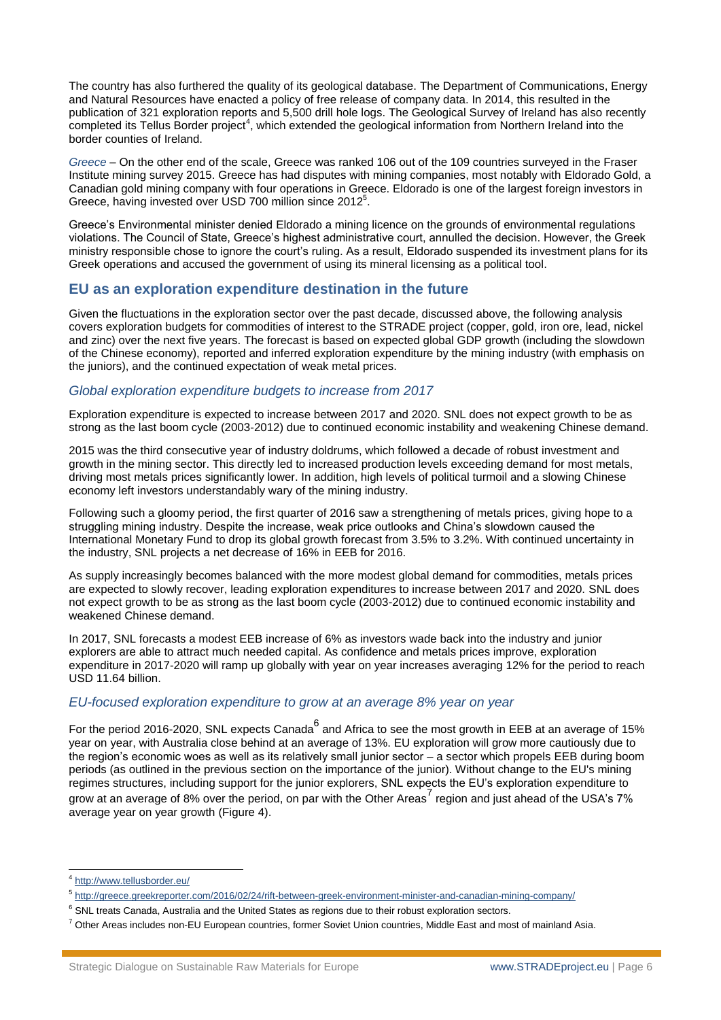The country has also furthered the quality of its geological database. The Department of Communications, Energy and Natural Resources have enacted a policy of free release of company data. In 2014, this resulted in the publication of 321 exploration reports and 5,500 drill hole logs. The Geological Survey of Ireland has also recently completed its Tellus Border project<sup>4</sup>, which extended the geological information from Northern Ireland into the border counties of Ireland.

*Greece* – On the other end of the scale, Greece was ranked 106 out of the 109 countries surveyed in the Fraser Institute mining survey 2015. Greece has had disputes with mining companies, most notably with Eldorado Gold, a Canadian gold mining company with four operations in Greece. Eldorado is one of the largest foreign investors in Greece, having invested over USD 700 million since 2012<sup>5</sup>.

Greece's Environmental minister denied Eldorado a mining licence on the grounds of environmental regulations violations. The Council of State, Greece's highest administrative court, annulled the decision. However, the Greek ministry responsible chose to ignore the court's ruling. As a result, Eldorado suspended its investment plans for its Greek operations and accused the government of using its mineral licensing as a political tool.

#### **EU as an exploration expenditure destination in the future**

Given the fluctuations in the exploration sector over the past decade, discussed above, the following analysis covers exploration budgets for commodities of interest to the STRADE project (copper, gold, iron ore, lead, nickel and zinc) over the next five years. The forecast is based on expected global GDP growth (including the slowdown of the Chinese economy), reported and inferred exploration expenditure by the mining industry (with emphasis on the juniors), and the continued expectation of weak metal prices.

#### *Global exploration expenditure budgets to increase from 2017*

Exploration expenditure is expected to increase between 2017 and 2020. SNL does not expect growth to be as strong as the last boom cycle (2003-2012) due to continued economic instability and weakening Chinese demand.

2015 was the third consecutive year of industry doldrums, which followed a decade of robust investment and growth in the mining sector. This directly led to increased production levels exceeding demand for most metals, driving most metals prices significantly lower. In addition, high levels of political turmoil and a slowing Chinese economy left investors understandably wary of the mining industry.

Following such a gloomy period, the first quarter of 2016 saw a strengthening of metals prices, giving hope to a struggling mining industry. Despite the increase, weak price outlooks and China's slowdown caused the International Monetary Fund to drop its global growth forecast from 3.5% to 3.2%. With continued uncertainty in the industry, SNL projects a net decrease of 16% in EEB for 2016.

As supply increasingly becomes balanced with the more modest global demand for commodities, metals prices are expected to slowly recover, leading exploration expenditures to increase between 2017 and 2020. SNL does not expect growth to be as strong as the last boom cycle (2003-2012) due to continued economic instability and weakened Chinese demand.

In 2017, SNL forecasts a modest EEB increase of 6% as investors wade back into the industry and junior explorers are able to attract much needed capital. As confidence and metals prices improve, exploration expenditure in 2017-2020 will ramp up globally with year on year increases averaging 12% for the period to reach USD 11.64 billion.

#### *EU-focused exploration expenditure to grow at an average 8% year on year*

For the period 2016-2020, SNL expects Canada<sup>6</sup> and Africa to see the most growth in EEB at an average of 15% year on year, with Australia close behind at an average of 13%. EU exploration will grow more cautiously due to the region's economic woes as well as its relatively small junior sector – a sector which propels EEB during boom periods (as outlined in the previous section on the importance of the junior). Without change to the EU's mining regimes structures, including support for the junior explorers, SNL expects the EU's exploration expenditure to grow at an average of 8% over the period, on par with the Other Areas<sup>7</sup> region and just ahead of the USA's 7% average year on year growth [\(Figure 4\)](#page-6-0).

 4 <http://www.tellusborder.eu/>

<sup>5</sup> <http://greece.greekreporter.com/2016/02/24/rift-between-greek-environment-minister-and-canadian-mining-company/>

 $6$  SNL treats Canada, Australia and the United States as regions due to their robust exploration sectors.

 $7$  Other Areas includes non-EU European countries, former Soviet Union countries, Middle East and most of mainland Asia.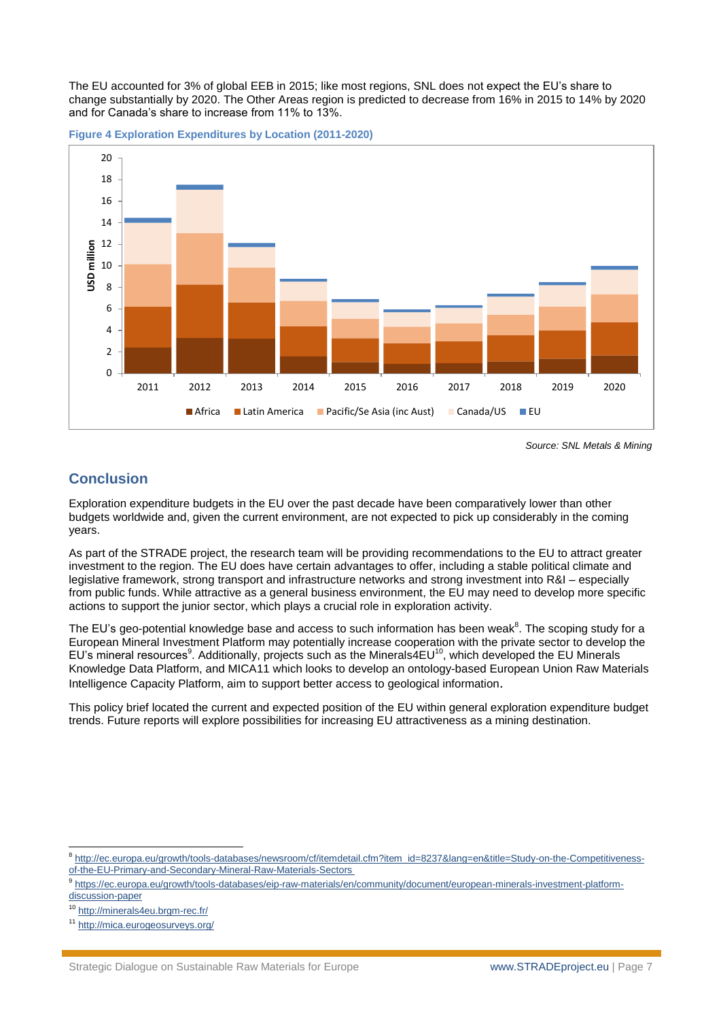The EU accounted for 3% of global EEB in 2015; like most regions, SNL does not expect the EU's share to change substantially by 2020. The Other Areas region is predicted to decrease from 16% in 2015 to 14% by 2020 and for Canada's share to increase from 11% to 13%.

<span id="page-6-0"></span>**Figure 4 Exploration Expenditures by Location (2011-2020)**



*Source: SNL Metals & Mining*

### **Conclusion**

Exploration expenditure budgets in the EU over the past decade have been comparatively lower than other budgets worldwide and, given the current environment, are not expected to pick up considerably in the coming years.

As part of the STRADE project, the research team will be providing recommendations to the EU to attract greater investment to the region. The EU does have certain advantages to offer, including a stable political climate and legislative framework, strong transport and infrastructure networks and strong investment into R&I – especially from public funds. While attractive as a general business environment, the EU may need to develop more specific actions to support the junior sector, which plays a crucial role in exploration activity.

The EU's geo-potential knowledge base and access to such information has been weak<sup>8</sup>. The scoping study for a European Mineral Investment Platform may potentially increase cooperation with the private sector to develop the EU's mineral resources<sup>9</sup>. Additionally, projects such as the Minerals4EU<sup>10</sup>, which developed the EU Minerals Knowledge Data Platform, and MICA11 which looks to develop an ontology-based European Union Raw Materials Intelligence Capacity Platform, aim to support better access to geological information.

This policy brief located the current and expected position of the EU within general exploration expenditure budget trends. Future reports will explore possibilities for increasing EU attractiveness as a mining destination.

 8 [http://ec.europa.eu/growth/tools-databases/newsroom/cf/itemdetail.cfm?item\\_id=8237&lang=en&title=Study-on-the-Competitiveness](http://ec.europa.eu/growth/tools-databases/newsroom/cf/itemdetail.cfm?item_id=8237&lang=en&title=Study-on-the-Competitiveness-of-the-EU-Primary-and-Secondary-Mineral-Raw-Materials-Sectors)[of-the-EU-Primary-and-Secondary-Mineral-Raw-Materials-Sectors](http://ec.europa.eu/growth/tools-databases/newsroom/cf/itemdetail.cfm?item_id=8237&lang=en&title=Study-on-the-Competitiveness-of-the-EU-Primary-and-Secondary-Mineral-Raw-Materials-Sectors)

<sup>9</sup> [https://ec.europa.eu/growth/tools-databases/eip-raw-materials/en/community/document/european-minerals-investment-platform](https://ec.europa.eu/growth/tools-databases/eip-raw-materials/en/community/document/european-minerals-investment-platform-discussion-paper)[discussion-paper](https://ec.europa.eu/growth/tools-databases/eip-raw-materials/en/community/document/european-minerals-investment-platform-discussion-paper)

<sup>10</sup> <http://minerals4eu.brgm-rec.fr/>

<sup>11</sup> <http://mica.eurogeosurveys.org/>